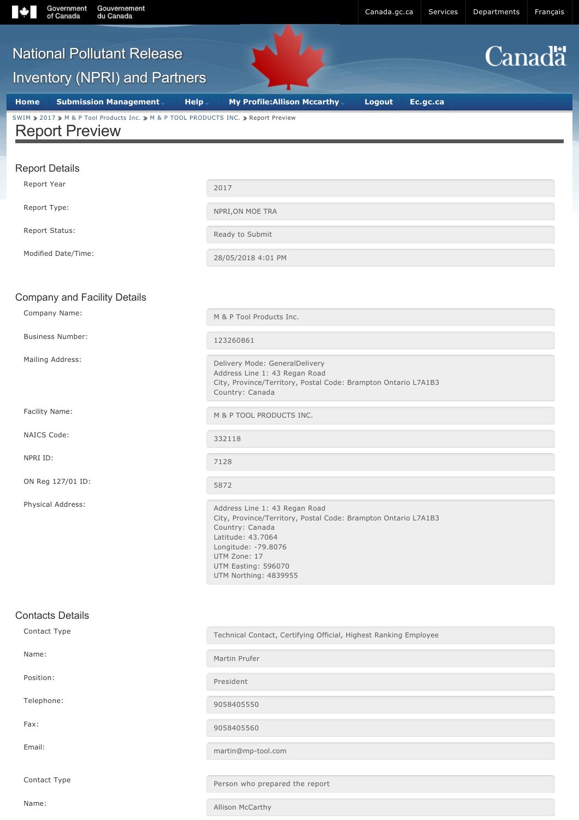

Contact Type **Person who prepared the report** 

Name: Allison McCarthy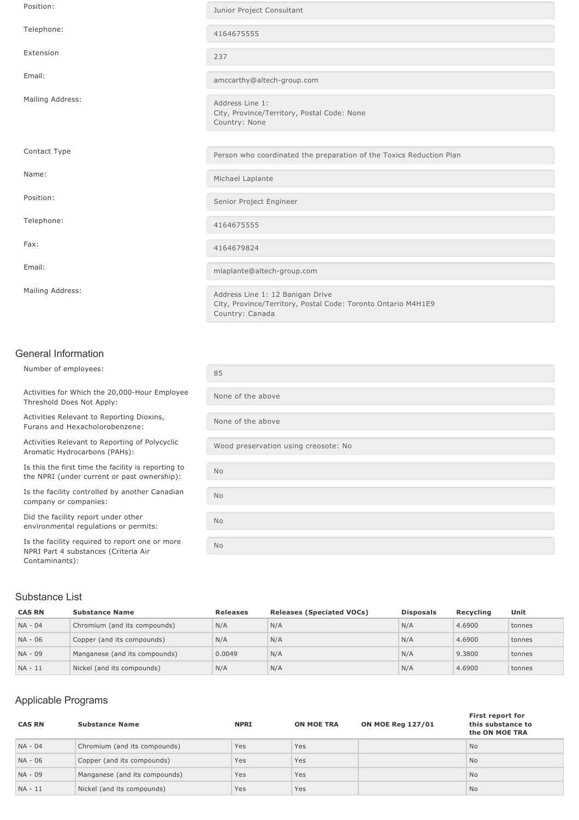| Position:        | Junior Project Consultant                                                                                            |
|------------------|----------------------------------------------------------------------------------------------------------------------|
| Telephone:       | 4164675555                                                                                                           |
| Extension        | 237                                                                                                                  |
| Email:           | amccarthy@altech-group.com                                                                                           |
| Mailing Address: | Address Line 1:<br>City, Province/Territory, Postal Code: None<br>Country: None                                      |
|                  |                                                                                                                      |
| Contact Type     | Person who coordinated the preparation of the Toxics Reduction Plan                                                  |
| Name:            | Michael Laplante                                                                                                     |
| Position:        | Senior Project Engineer                                                                                              |
| Telephone:       | 4164675555                                                                                                           |
| Fax:             | 4164679824                                                                                                           |
| Email:           | mlaplante@altech-group.com                                                                                           |
| Mailing Address: | Address Line 1: 12 Banigan Drive<br>City, Province/Territory, Postal Code: Toronto Ontario M4H1E9<br>Country: Canada |

#### General Information

Number of employees: Activities for Which the 20,000-Hour Employee Threshold Does Not Apply: None of the above Activities Relevant to Reporting Dioxins, Furans and Hexacholorobenzene: None of the above Activities Relevant to Reporting of Polycyclic Aromatic Hydrocarbons (PAHs): Is this the first time the facility is reporting to the NPRI (under current or past ownership): No Is the facility controlled by another Canadian company or companies: No Did the facility report under other environmental regulations or permits: No Is the facility required to report one or more NPRI Part 4 substances (Criteria Air

## Substance List

Contaminants):

| <b>CAS RN</b> | <b>Substance Name</b>         | <b>Releases</b> | <b>Releases (Speciated VOCs)</b> | <b>Disposals</b> | Recvcling | Unit   |
|---------------|-------------------------------|-----------------|----------------------------------|------------------|-----------|--------|
| NA - 04       | Chromium (and its compounds)  | N/A             | N/A                              | N/A              | 4.6900    | tonnes |
| NA - 06       | Copper (and its compounds)    | N/A             | N/A                              | N/A              | 4.6900    | tonnes |
| NA - 09       | Manganese (and its compounds) | 0.0049          | N/A                              | N/A              | 9.3800    | tonnes |
| NA - 11       | Nickel (and its compounds)    | N/A             | N/A                              | N/A              | 4.6900    | tonnes |

#### Applicable Programs

| <b>CAS RN</b> | <b>Substance Name</b>         | <b>NPRI</b> | <b>ON MOE TRA</b> | <b>ON MOE Reg 127/01</b> | First report for<br>this substance to<br>the ON MOE TRA |
|---------------|-------------------------------|-------------|-------------------|--------------------------|---------------------------------------------------------|
| NA - 04       | Chromium (and its compounds)  | Yes         | Yes               |                          | No.                                                     |
| NA - 06       | Copper (and its compounds)    | Yes         | Yes               |                          | No.                                                     |
| NA - 09       | Manganese (and its compounds) | Yes         | Yes               |                          | No.                                                     |
| $NA - 11$     | Nickel (and its compounds)    | Yes         | Yes               |                          | No.                                                     |

| 85                                   |
|--------------------------------------|
| None of the above                    |
| None of the above                    |
| Wood preservation using creosote: No |
| No                                   |
| No                                   |
| <b>No</b>                            |
| <b>No</b>                            |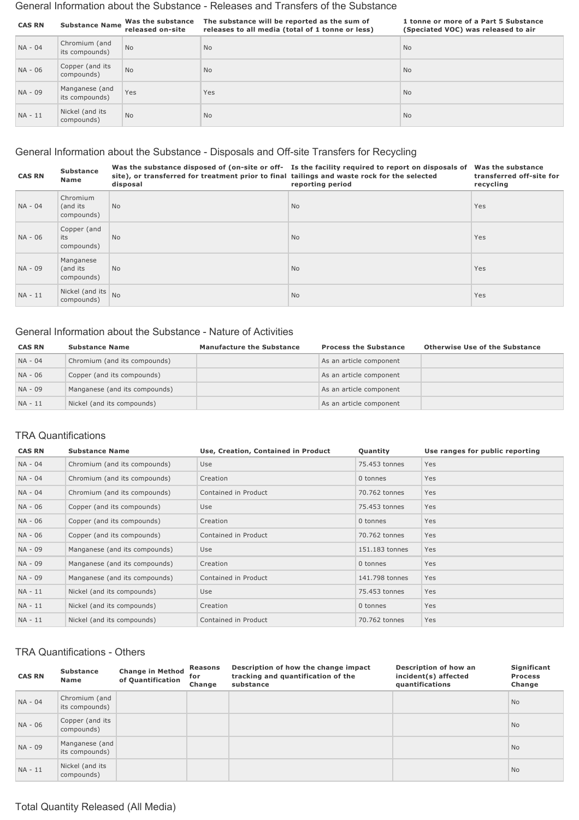#### General Information about the Substance Releases and Transfers of the Substance

| <b>CAS RN</b> | <b>Substance Name</b>            | Was the substance<br>released on-site | The substance will be reported as the sum of<br>releases to all media (total of 1 tonne or less) | 1 tonne or more of a Part 5 Substance<br>(Speciated VOC) was released to air |
|---------------|----------------------------------|---------------------------------------|--------------------------------------------------------------------------------------------------|------------------------------------------------------------------------------|
| NA - 04       | Chromium (and<br>its compounds)  | <b>No</b>                             | <b>No</b>                                                                                        | <b>No</b>                                                                    |
| NA - 06       | Copper (and its<br>compounds)    | <b>No</b>                             | <b>No</b>                                                                                        | <b>No</b>                                                                    |
| NA - 09       | Manganese (and<br>its compounds) | Yes                                   | Yes                                                                                              | <b>No</b>                                                                    |
| $NA - 11$     | Nickel (and its<br>compounds)    | <b>No</b>                             | <b>No</b>                                                                                        | <b>No</b>                                                                    |

## General Information about the Substance - Disposals and Off-site Transfers for Recycling

| <b>CAS RN</b> | <b>Substance</b><br><b>Name</b>      | site), or transferred for treatment prior to final tailings and waste rock for the selected<br>disposal | Was the substance disposed of (on-site or off- Is the facility required to report on disposals of<br>reporting period | Was the substance<br>transferred off-site for<br>recycling |
|---------------|--------------------------------------|---------------------------------------------------------------------------------------------------------|-----------------------------------------------------------------------------------------------------------------------|------------------------------------------------------------|
| $NA - 04$     | Chromium<br>(and its<br>compounds)   | <b>No</b>                                                                                               | <b>No</b>                                                                                                             | <b>Yes</b>                                                 |
| NA - 06       | Copper (and<br>its<br>compounds)     | <b>No</b>                                                                                               | <b>No</b>                                                                                                             | <b>Yes</b>                                                 |
| NA - 09       | Manganese<br>(and its)<br>compounds) | <b>No</b>                                                                                               | <b>No</b>                                                                                                             | <b>Yes</b>                                                 |
| $NA - 11$     | Nickel (and its<br>compounds)        | <b>No</b>                                                                                               | <b>No</b>                                                                                                             | Yes                                                        |

## General Information about the Substance Nature of Activities

| <b>CAS RN</b> | <b>Substance Name</b>         | <b>Manufacture the Substance</b> | <b>Process the Substance</b> | <b>Otherwise Use of the Substance</b> |
|---------------|-------------------------------|----------------------------------|------------------------------|---------------------------------------|
| NA - 04       | Chromium (and its compounds)  |                                  | As an article component      |                                       |
| NA - 06       | Copper (and its compounds)    |                                  | As an article component      |                                       |
| NA - 09       | Manganese (and its compounds) |                                  | As an article component      |                                       |
| $NA - 11$     | Nickel (and its compounds)    |                                  | As an article component      |                                       |

#### TRA Quantifications

| <b>CAS RN</b> | <b>Substance Name</b>         | Use, Creation, Contained in Product | Quantity       | Use ranges for public reporting |
|---------------|-------------------------------|-------------------------------------|----------------|---------------------------------|
| NA - 04       | Chromium (and its compounds)  | Use                                 | 75.453 tonnes  | Yes                             |
| NA - 04       | Chromium (and its compounds)  | Creation                            | 0 tonnes       | Yes                             |
| NA - 04       | Chromium (and its compounds)  | Contained in Product                | 70.762 tonnes  | Yes                             |
| NA - 06       | Copper (and its compounds)    | Use                                 | 75.453 tonnes  | Yes                             |
| NA - 06       | Copper (and its compounds)    | Creation                            | 0 tonnes       | Yes                             |
| NA - 06       | Copper (and its compounds)    | Contained in Product                | 70.762 tonnes  | Yes                             |
| NA - 09       | Manganese (and its compounds) | Use                                 | 151.183 tonnes | Yes                             |
| NA - 09       | Manganese (and its compounds) | Creation                            | 0 tonnes       | Yes                             |
| NA - 09       | Manganese (and its compounds) | Contained in Product                | 141.798 tonnes | Yes                             |
| NA - 11       | Nickel (and its compounds)    | Use                                 | 75.453 tonnes  | Yes                             |
| NA - 11       | Nickel (and its compounds)    | Creation                            | 0 tonnes       | Yes                             |
| NA - 11       | Nickel (and its compounds)    | Contained in Product                | 70.762 tonnes  | Yes                             |

#### TRA Quantifications - Others

| <b>CAS RN</b> | <b>Substance</b><br><b>Name</b>  | <b>Change in Method</b><br>of Quantification | <b>Reasons</b><br>for<br>Change | Description of how the change impact<br>tracking and quantification of the<br>substance | Description of how an<br>incident(s) affected<br>quantifications | Significant<br><b>Process</b><br>Change |
|---------------|----------------------------------|----------------------------------------------|---------------------------------|-----------------------------------------------------------------------------------------|------------------------------------------------------------------|-----------------------------------------|
| $NA - 04$     | Chromium (and<br>its compounds)  |                                              |                                 |                                                                                         |                                                                  | <b>No</b>                               |
| NA - 06       | Copper (and its<br>compounds)    |                                              |                                 |                                                                                         |                                                                  | <b>No</b>                               |
| NA - 09       | Manganese (and<br>its compounds) |                                              |                                 |                                                                                         |                                                                  | <b>No</b>                               |
| $NA - 11$     | Nickel (and its<br>compounds)    |                                              |                                 |                                                                                         |                                                                  | <b>No</b>                               |

## Total Quantity Released (All Media)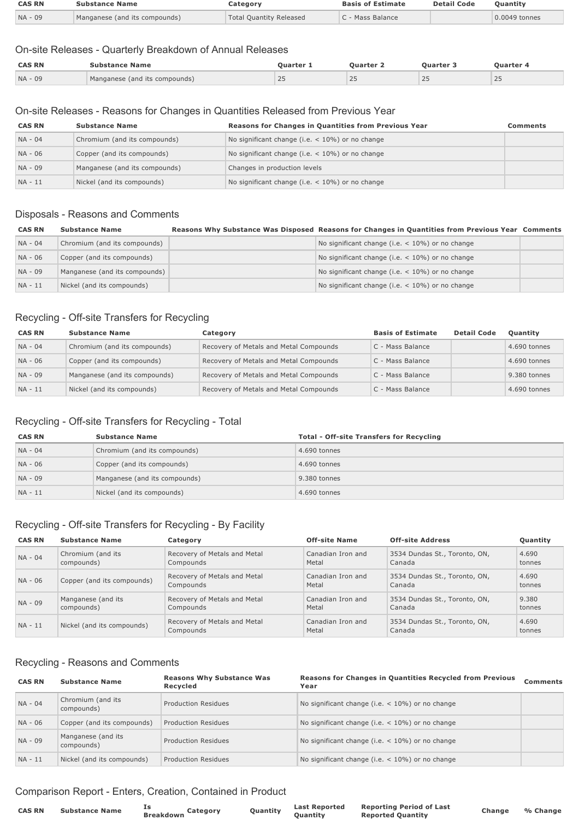| <b>CAS RN</b> | Substance Name                | Jategorv                       | <b>Basis of Estimate</b> | <b>Detail Code</b> | Ouantitv      |
|---------------|-------------------------------|--------------------------------|--------------------------|--------------------|---------------|
| NA - 09       | Manganese (and its compounds) | <b>Total Quantity Released</b> | - Mass Balance           |                    | 0.0049 tonnes |

## On-site Releases - Quarterly Breakdown of Annual Releases

| <b>CAS RN</b> | Substance Name                | <b>Ouarter</b>  | <b>Duarter</b> : | <b>Ouarter 3</b> | Ouarter 4 |
|---------------|-------------------------------|-----------------|------------------|------------------|-----------|
| $NA - 09$     | Manganese (and its compounds) | $\bigcap$<br>ZJ | 25               | 25               | ت ک       |

#### On-site Releases - Reasons for Changes in Quantities Released from Previous Year

| <b>CAS RN</b> | <b>Substance Name</b>         | Reasons for Changes in Quantities from Previous Year | Comments |
|---------------|-------------------------------|------------------------------------------------------|----------|
| NA - 04       | Chromium (and its compounds)  | No significant change (i.e. $<$ 10%) or no change    |          |
| NA - 06       | Copper (and its compounds)    | No significant change (i.e. $<$ 10%) or no change    |          |
| NA - 09       | Manganese (and its compounds) | Changes in production levels                         |          |
| NA - 11       | Nickel (and its compounds)    | No significant change (i.e. $<$ 10%) or no change    |          |

#### Disposals - Reasons and Comments

| <b>CAS RN</b> | <b>Substance Name</b>         | Reasons Why Substance Was Disposed Reasons for Changes in Quantities from Previous Year Comments |  |
|---------------|-------------------------------|--------------------------------------------------------------------------------------------------|--|
| NA - 04       | Chromium (and its compounds)  | No significant change (i.e. $<$ 10%) or no change                                                |  |
| NA - 06       | Copper (and its compounds)    | No significant change (i.e. $<$ 10%) or no change                                                |  |
| NA - 09       | Manganese (and its compounds) | No significant change (i.e. $<$ 10%) or no change                                                |  |
| NA - 11       | Nickel (and its compounds)    | No significant change (i.e. $<$ 10%) or no change                                                |  |

## Recycling - Off-site Transfers for Recycling

| <b>CAS RN</b> | <b>Substance Name</b>         | Category                               | <b>Basis of Estimate</b> | <b>Detail Code</b> | Quantity     |
|---------------|-------------------------------|----------------------------------------|--------------------------|--------------------|--------------|
| NA - 04       | Chromium (and its compounds)  | Recovery of Metals and Metal Compounds | C - Mass Balance         |                    | 4.690 tonnes |
| NA - 06       | Copper (and its compounds)    | Recovery of Metals and Metal Compounds | C - Mass Balance         |                    | 4.690 tonnes |
| NA - 09       | Manganese (and its compounds) | Recovery of Metals and Metal Compounds | C - Mass Balance         |                    | 9.380 tonnes |
| NA - 11       | Nickel (and its compounds)    | Recovery of Metals and Metal Compounds | C - Mass Balance         |                    | 4.690 tonnes |

## Recycling - Off-site Transfers for Recycling - Total

| <b>CAS RN</b> | <b>Substance Name</b>         | <b>Total - Off-site Transfers for Recycling</b> |
|---------------|-------------------------------|-------------------------------------------------|
| NA - 04       | Chromium (and its compounds)  | 4.690 tonnes                                    |
| NA - 06       | Copper (and its compounds)    | 4.690 tonnes                                    |
| NA - 09       | Manganese (and its compounds) | 9.380 tonnes                                    |
| NA - 11       | Nickel (and its compounds)    | 4.690 tonnes                                    |

## Recycling - Off-site Transfers for Recycling - By Facility

| <b>CAS RN</b> | <b>Substance Name</b>            | Category                                  | <b>Off-site Name</b>       | <b>Off-site Address</b>                 | Quantity        |
|---------------|----------------------------------|-------------------------------------------|----------------------------|-----------------------------------------|-----------------|
| $NA - 04$     | Chromium (and its<br>compounds)  | Recovery of Metals and Metal<br>Compounds | Canadian Iron and<br>Metal | 3534 Dundas St., Toronto, ON,<br>Canada | 4.690<br>tonnes |
| NA - 06       | Copper (and its compounds)       | Recovery of Metals and Metal<br>Compounds | Canadian Iron and<br>Metal | 3534 Dundas St., Toronto, ON,<br>Canada | 4.690<br>tonnes |
| NA - 09       | Manganese (and its<br>compounds) | Recovery of Metals and Metal<br>Compounds | Canadian Iron and<br>Metal | 3534 Dundas St., Toronto, ON,<br>Canada | 9.380<br>tonnes |
| $NA - 11$     | Nickel (and its compounds)       | Recovery of Metals and Metal<br>Compounds | Canadian Iron and<br>Metal | 3534 Dundas St., Toronto, ON,<br>Canada | 4.690<br>tonnes |

#### Recycling - Reasons and Comments

| <b>CAS RN</b> | <b>Substance Name</b>            | <b>Reasons Why Substance Was</b><br>Recycled | <b>Reasons for Changes in Quantities Recycled from Previous</b><br>Year | <b>Comments</b> |
|---------------|----------------------------------|----------------------------------------------|-------------------------------------------------------------------------|-----------------|
| $NA - 04$     | Chromium (and its<br>compounds)  | <b>Production Residues</b>                   | No significant change (i.e. $<$ 10%) or no change                       |                 |
| NA - 06       | Copper (and its compounds)       | Production Residues                          | No significant change (i.e. $<$ 10%) or no change                       |                 |
| NA - 09       | Manganese (and its<br>compounds) | Production Residues                          | No significant change (i.e. $<$ 10%) or no change                       |                 |
| $NA - 11$     | Nickel (and its compounds)       | Production Residues                          | No significant change (i.e. $<$ 10%) or no change                       |                 |

## Comparison Report - Enters, Creation, Contained in Product

| <b>CAS RN</b> | <b>Substance Name</b> | Category<br><b>Breakdown</b> | Quantity | <b>Last Reported</b> | <b>Reporting Period of Last</b> |
|---------------|-----------------------|------------------------------|----------|----------------------|---------------------------------|
|               |                       |                              |          | <b>Ouantity</b>      | <b>Reported Quantity</b>        |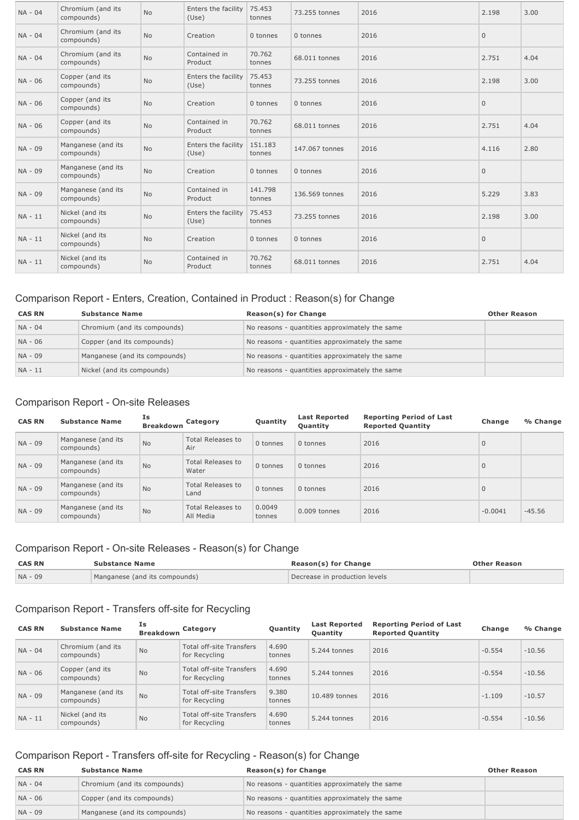| NA - 04 | Chromium (and its<br>compounds)  | <b>No</b> | Enters the facility<br>(Use) | 75.453<br>tonnes  | 73.255 tonnes  | 2016 | 2.198        | 3.00 |
|---------|----------------------------------|-----------|------------------------------|-------------------|----------------|------|--------------|------|
| NA - 04 | Chromium (and its<br>compounds)  | <b>No</b> | Creation                     | 0 tonnes          | 0 tonnes       | 2016 | $\mathbf{0}$ |      |
| NA - 04 | Chromium (and its<br>compounds)  | <b>No</b> | Contained in<br>Product      | 70.762<br>tonnes  | 68.011 tonnes  | 2016 | 2.751        | 4.04 |
| NA - 06 | Copper (and its<br>compounds)    | No        | Enters the facility<br>(Use) | 75.453<br>tonnes  | 73.255 tonnes  | 2016 | 2.198        | 3.00 |
| NA - 06 | Copper (and its<br>compounds)    | <b>No</b> | Creation                     | 0 tonnes          | 0 tonnes       | 2016 | $\mathbf{0}$ |      |
| NA - 06 | Copper (and its<br>compounds)    | No        | Contained in<br>Product      | 70.762<br>tonnes  | 68.011 tonnes  | 2016 | 2.751        | 4.04 |
| NA - 09 | Manganese (and its<br>compounds) | <b>No</b> | Enters the facility<br>(Use) | 151.183<br>tonnes | 147,067 tonnes | 2016 | 4.116        | 2.80 |
| NA - 09 | Manganese (and its<br>compounds) | <b>No</b> | Creation                     | 0 tonnes          | 0 tonnes       | 2016 | $\mathbf{0}$ |      |
| NA - 09 | Manganese (and its<br>compounds) | No        | Contained in<br>Product      | 141.798<br>tonnes | 136,569 tonnes | 2016 | 5.229        | 3.83 |
| NA - 11 | Nickel (and its<br>compounds)    | No        | Enters the facility<br>(Use) | 75.453<br>tonnes  | 73.255 tonnes  | 2016 | 2.198        | 3.00 |
| NA - 11 | Nickel (and its<br>compounds)    | <b>No</b> | Creation                     | 0 tonnes          | 0 tonnes       | 2016 | $\mathbf{0}$ |      |
| NA - 11 | Nickel (and its<br>compounds)    | <b>No</b> | Contained in<br>Product      | 70.762<br>tonnes  | 68.011 tonnes  | 2016 | 2.751        | 4.04 |

## Comparison Report - Enters, Creation, Contained in Product : Reason(s) for Change

| <b>CAS RN</b> | <b>Substance Name</b>         | Reason(s) for Change                           | <b>Other Reason</b> |
|---------------|-------------------------------|------------------------------------------------|---------------------|
| NA - 04       | Chromium (and its compounds)  | No reasons - quantities approximately the same |                     |
| NA - 06       | Copper (and its compounds)    | No reasons - quantities approximately the same |                     |
| NA - 09       | Manganese (and its compounds) | No reasons - quantities approximately the same |                     |
| NA - 11       | Nickel (and its compounds)    | No reasons - quantities approximately the same |                     |

## Comparison Report - On-site Releases

| <b>CAS RN</b> | <b>Substance Name</b>            | Is<br><b>Breakdown</b> | Category                              | Quantity         | <b>Last Reported</b><br>Quantity | <b>Reporting Period of Last</b><br><b>Reported Quantity</b> | Change       | % Change |
|---------------|----------------------------------|------------------------|---------------------------------------|------------------|----------------------------------|-------------------------------------------------------------|--------------|----------|
| NA - 09       | Manganese (and its<br>compounds) | <b>No</b>              | <b>Total Releases to</b><br>Air       | 0 tonnes         | 0 tonnes                         | 2016                                                        | $\mathbf{0}$ |          |
| NA - 09       | Manganese (and its<br>compounds) | <b>No</b>              | <b>Total Releases to</b><br>Water     | 0 tonnes         | 0 tonnes                         | 2016                                                        | $\mathbf{0}$ |          |
| NA - 09       | Manganese (and its<br>compounds) | <b>No</b>              | <b>Total Releases to</b><br>Land      | 0 tonnes         | 0 tonnes                         | 2016                                                        | $\mathbf{0}$ |          |
| NA - 09       | Manganese (and its<br>compounds) | <b>No</b>              | <b>Total Releases to</b><br>All Media | 0.0049<br>tonnes | 0.009 tonnes                     | 2016                                                        | $-0.0041$    | $-45.56$ |

## Comparison Report - On-site Releases - Reason(s) for Change

| <b>CAS RN</b> | <b>Substance Name</b>         | Reason(s) for Change          | <b>Other Reason</b> |
|---------------|-------------------------------|-------------------------------|---------------------|
| NA - 09       | Manganese (and its compounds) | Decrease in production levels |                     |

## Comparison Report - Transfers off-site for Recycling

| <b>CAS RN</b> | <b>Substance Name</b>            | Ιs<br><b>Breakdown</b> | Category                                         | Quantity        | <b>Last Reported</b><br><b>Ouantity</b> | <b>Reporting Period of Last</b><br><b>Reported Quantity</b> | Change   | % Change |
|---------------|----------------------------------|------------------------|--------------------------------------------------|-----------------|-----------------------------------------|-------------------------------------------------------------|----------|----------|
| $NA - 04$     | Chromium (and its<br>compounds)  | <b>No</b>              | Total off-site Transfers<br>for Recycling        | 4.690<br>tonnes | 5.244 tonnes                            | 2016                                                        | $-0.554$ | $-10.56$ |
| NA - 06       | Copper (and its<br>compounds)    | <b>No</b>              | Total off-site Transfers<br>for Recycling        | 4.690<br>tonnes | 5.244 tonnes                            | 2016                                                        | $-0.554$ | $-10.56$ |
| NA - 09       | Manganese (and its<br>compounds) | <b>No</b>              | <b>Total off-site Transfers</b><br>for Recycling | 9.380<br>tonnes | 10.489 tonnes                           | 2016                                                        | $-1.109$ | $-10.57$ |
| $NA - 11$     | Nickel (and its<br>compounds)    | <b>No</b>              | <b>Total off-site Transfers</b><br>for Recycling | 4.690<br>tonnes | 5.244 tonnes                            | 2016                                                        | $-0.554$ | $-10.56$ |

# Comparison Report - Transfers off-site for Recycling - Reason(s) for Change

| <b>CAS RN</b> | Substance Name                | Reason(s) for Change                           | Other Reason |
|---------------|-------------------------------|------------------------------------------------|--------------|
| $NA - 04$     | Chromium (and its compounds)  | No reasons - quantities approximately the same |              |
| NA - 06       | Copper (and its compounds)    | No reasons - quantities approximately the same |              |
| $NA - 09$     | Manganese (and its compounds) | No reasons - quantities approximately the same |              |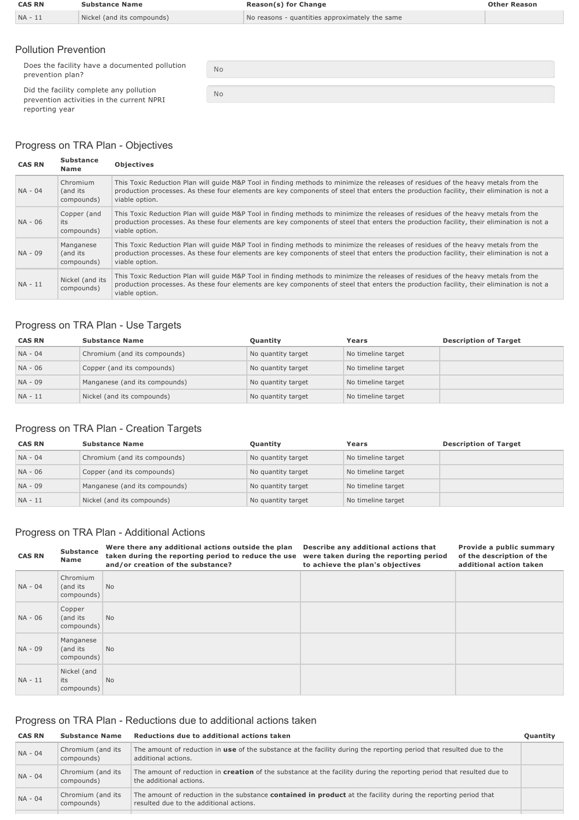| <b>CAS RN</b> | <b>Substance Name</b>      | <b>Reason(s) for Change</b>                    | <b>Other Reason</b> |
|---------------|----------------------------|------------------------------------------------|---------------------|
| $NA - 11$     | Nickel (and its compounds) | No reasons - quantities approximately the same |                     |

#### Pollution Prevention

Does the facility have a documented pollution prevention plan?

Did the facility complete any pollution prevention activities in the current NPRI reporting year

No No

## Progress on TRA Plan - Objectives

| <b>CAS RN</b> | <b>Substance</b><br>Name            | <b>Objectives</b>                                                                                                                                                                                                                                                                                |
|---------------|-------------------------------------|--------------------------------------------------------------------------------------------------------------------------------------------------------------------------------------------------------------------------------------------------------------------------------------------------|
| $NA - 04$     | Chromium<br>(and its<br>compounds)  | This Toxic Reduction Plan will guide M&P Tool in finding methods to minimize the releases of residues of the heavy metals from the<br>production processes. As these four elements are key components of steel that enters the production facility, their elimination is not a<br>viable option. |
| NA - 06       | Copper (and<br>its<br>compounds)    | This Toxic Reduction Plan will guide M&P Tool in finding methods to minimize the releases of residues of the heavy metals from the<br>production processes. As these four elements are key components of steel that enters the production facility, their elimination is not a<br>viable option. |
| NA - 09       | Manganese<br>(and its<br>compounds) | This Toxic Reduction Plan will quide M&P Tool in finding methods to minimize the releases of residues of the heavy metals from the<br>production processes. As these four elements are key components of steel that enters the production facility, their elimination is not a<br>viable option. |
| $NA - 11$     | Nickel (and its<br>compounds)       | This Toxic Reduction Plan will quide M&P Tool in finding methods to minimize the releases of residues of the heavy metals from the<br>production processes. As these four elements are key components of steel that enters the production facility, their elimination is not a<br>viable option. |

## Progress on TRA Plan - Use Targets

| <b>CAS RN</b> | <b>Substance Name</b>         | Quantity           | Years              | <b>Description of Target</b> |
|---------------|-------------------------------|--------------------|--------------------|------------------------------|
| NA - 04       | Chromium (and its compounds)  | No quantity target | No timeline target |                              |
| NA - 06       | Copper (and its compounds)    | No quantity target | No timeline target |                              |
| NA - 09       | Manganese (and its compounds) | No quantity target | No timeline target |                              |
| NA - 11       | Nickel (and its compounds)    | No quantity target | No timeline target |                              |

## Progress on TRA Plan - Creation Targets

| <b>CAS RN</b> | <b>Substance Name</b>         | Quantity           | Years              | <b>Description of Target</b> |
|---------------|-------------------------------|--------------------|--------------------|------------------------------|
| NA - 04       | Chromium (and its compounds)  | No quantity target | No timeline target |                              |
| NA - 06       | Copper (and its compounds)    | No quantity target | No timeline target |                              |
| NA - 09       | Manganese (and its compounds) | No quantity target | No timeline target |                              |
| NA - 11       | Nickel (and its compounds)    | No quantity target | No timeline target |                              |

## Progress on TRA Plan - Additional Actions

| <b>CAS RN</b> | <b>Substance</b><br>Name            | Were there any additional actions outside the plan<br>taken during the reporting period to reduce the use<br>and/or creation of the substance? | Describe any additional actions that<br>were taken during the reporting period<br>to achieve the plan's objectives | Provide a public summary<br>of the description of the<br>additional action taken |
|---------------|-------------------------------------|------------------------------------------------------------------------------------------------------------------------------------------------|--------------------------------------------------------------------------------------------------------------------|----------------------------------------------------------------------------------|
| $NA - 04$     | Chromium<br>(and its<br>compounds)  | <b>No</b>                                                                                                                                      |                                                                                                                    |                                                                                  |
| NA - 06       | Copper<br>(and its<br>compounds)    | N <sub>o</sub>                                                                                                                                 |                                                                                                                    |                                                                                  |
| NA - 09       | Manganese<br>(and its<br>compounds) | N <sub>o</sub>                                                                                                                                 |                                                                                                                    |                                                                                  |
| NA - 11       | Nickel (and<br>its<br>compounds)    | <b>No</b>                                                                                                                                      |                                                                                                                    |                                                                                  |

## Progress on TRA Plan - Reductions due to additional actions taken

| <b>CAS RN</b> | <b>Substance Name</b>           | Reductions due to additional actions taken                                                                                                                       | Quantity |
|---------------|---------------------------------|------------------------------------------------------------------------------------------------------------------------------------------------------------------|----------|
| NA - 04       | Chromium (and its<br>compounds) | The amount of reduction in use of the substance at the facility during the reporting period that resulted due to the<br>additional actions.                      |          |
| $NA - 04$     | Chromium (and its<br>compounds) | The amount of reduction in creation of the substance at the facility during the reporting period that resulted due to<br>the additional actions.                 |          |
| $NA - 04$     | Chromium (and its<br>compounds) | The amount of reduction in the substance <b>contained in product</b> at the facility during the reporting period that<br>resulted due to the additional actions. |          |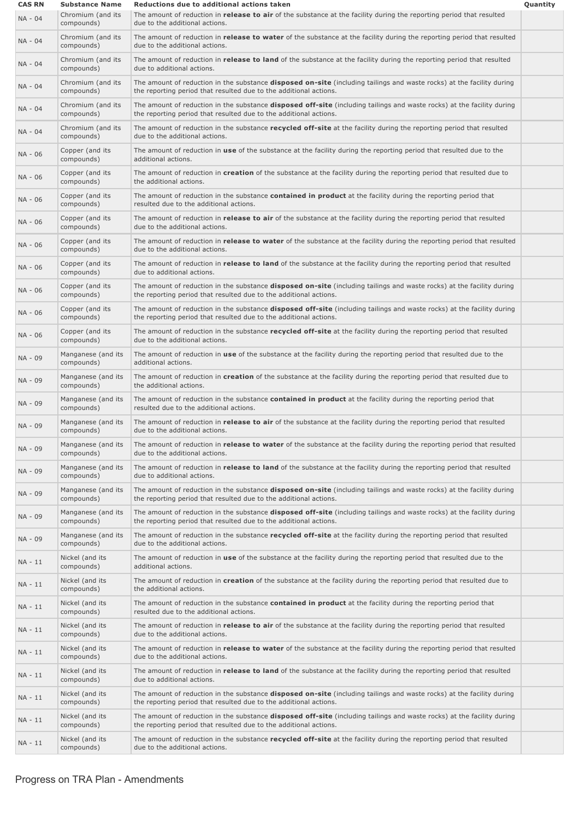| <b>CAS RN</b> | <b>Substance Name</b>            | Reductions due to additional actions taken                                                                                                                                                         | Quantity |
|---------------|----------------------------------|----------------------------------------------------------------------------------------------------------------------------------------------------------------------------------------------------|----------|
| NA - 04       | Chromium (and its<br>compounds)  | The amount of reduction in release to air of the substance at the facility during the reporting period that resulted<br>due to the additional actions.                                             |          |
| NA - 04       | Chromium (and its<br>compounds)  | The amount of reduction in release to water of the substance at the facility during the reporting period that resulted<br>due to the additional actions.                                           |          |
| NA - 04       | Chromium (and its<br>compounds)  | The amount of reduction in <b>release to land</b> of the substance at the facility during the reporting period that resulted<br>due to additional actions.                                         |          |
| NA - 04       | Chromium (and its<br>compounds)  | The amount of reduction in the substance disposed on-site (including tailings and waste rocks) at the facility during<br>the reporting period that resulted due to the additional actions.         |          |
| NA - 04       | Chromium (and its<br>compounds)  | The amount of reduction in the substance <b>disposed off-site</b> (including tailings and waste rocks) at the facility during<br>the reporting period that resulted due to the additional actions. |          |
| NA - 04       | Chromium (and its<br>compounds)  | The amount of reduction in the substance recycled off-site at the facility during the reporting period that resulted<br>due to the additional actions.                                             |          |
| NA - 06       | Copper (and its<br>compounds)    | The amount of reduction in use of the substance at the facility during the reporting period that resulted due to the<br>additional actions.                                                        |          |
| NA - 06       | Copper (and its<br>compounds)    | The amount of reduction in creation of the substance at the facility during the reporting period that resulted due to<br>the additional actions.                                                   |          |
| NA - 06       | Copper (and its<br>compounds)    | The amount of reduction in the substance <b>contained in product</b> at the facility during the reporting period that<br>resulted due to the additional actions.                                   |          |
| NA - 06       | Copper (and its<br>compounds)    | The amount of reduction in release to air of the substance at the facility during the reporting period that resulted<br>due to the additional actions.                                             |          |
| NA - 06       | Copper (and its<br>compounds)    | The amount of reduction in release to water of the substance at the facility during the reporting period that resulted<br>due to the additional actions.                                           |          |
| NA - 06       | Copper (and its<br>compounds)    | The amount of reduction in <i>release to land</i> of the substance at the facility during the reporting period that resulted<br>due to additional actions.                                         |          |
| NA - 06       | Copper (and its<br>compounds)    | The amount of reduction in the substance disposed on-site (including tailings and waste rocks) at the facility during<br>the reporting period that resulted due to the additional actions.         |          |
| NA - 06       | Copper (and its<br>compounds)    | The amount of reduction in the substance disposed off-site (including tailings and waste rocks) at the facility during<br>the reporting period that resulted due to the additional actions.        |          |
| NA - 06       | Copper (and its<br>compounds)    | The amount of reduction in the substance recycled off-site at the facility during the reporting period that resulted<br>due to the additional actions.                                             |          |
| NA - 09       | Manganese (and its<br>compounds) | The amount of reduction in use of the substance at the facility during the reporting period that resulted due to the<br>additional actions.                                                        |          |
| NA - 09       | Manganese (and its<br>compounds) | The amount of reduction in creation of the substance at the facility during the reporting period that resulted due to<br>the additional actions.                                                   |          |
| NA - 09       | Manganese (and its<br>compounds) | The amount of reduction in the substance contained in product at the facility during the reporting period that<br>resulted due to the additional actions.                                          |          |
| NA - 09       | Manganese (and its<br>compounds) | The amount of reduction in release to air of the substance at the facility during the reporting period that resulted<br>due to the additional actions.                                             |          |
| NA - 09       | Manganese (and its<br>compounds) | The amount of reduction in release to water of the substance at the facility during the reporting period that resulted<br>due to the additional actions.                                           |          |
| NA - 09       | Manganese (and its<br>compounds) | The amount of reduction in release to land of the substance at the facility during the reporting period that resulted<br>due to additional actions.                                                |          |
| NA - 09       | Manganese (and its<br>compounds) | The amount of reduction in the substance <b>disposed on-site</b> (including tailings and waste rocks) at the facility during<br>the reporting period that resulted due to the additional actions.  |          |
| NA - 09       | Manganese (and its<br>compounds) | The amount of reduction in the substance <b>disposed off-site</b> (including tailings and waste rocks) at the facility during<br>the reporting period that resulted due to the additional actions. |          |
| NA - 09       | Manganese (and its<br>compounds) | The amount of reduction in the substance recycled off-site at the facility during the reporting period that resulted<br>due to the additional actions.                                             |          |
| NA - 11       | Nickel (and its<br>compounds)    | The amount of reduction in use of the substance at the facility during the reporting period that resulted due to the<br>additional actions.                                                        |          |
| NA - 11       | Nickel (and its<br>compounds)    | The amount of reduction in creation of the substance at the facility during the reporting period that resulted due to<br>the additional actions.                                                   |          |
| NA - 11       | Nickel (and its<br>compounds)    | The amount of reduction in the substance <b>contained in product</b> at the facility during the reporting period that<br>resulted due to the additional actions.                                   |          |
| NA - 11       | Nickel (and its<br>compounds)    | The amount of reduction in release to air of the substance at the facility during the reporting period that resulted<br>due to the additional actions.                                             |          |
| NA - 11       | Nickel (and its<br>compounds)    | The amount of reduction in release to water of the substance at the facility during the reporting period that resulted<br>due to the additional actions.                                           |          |
| NA - 11       | Nickel (and its<br>compounds)    | The amount of reduction in release to land of the substance at the facility during the reporting period that resulted<br>due to additional actions.                                                |          |
| NA - 11       | Nickel (and its<br>compounds)    | The amount of reduction in the substance <b>disposed on-site</b> (including tailings and waste rocks) at the facility during<br>the reporting period that resulted due to the additional actions.  |          |
| NA - 11       | Nickel (and its<br>compounds)    | The amount of reduction in the substance <b>disposed off-site</b> (including tailings and waste rocks) at the facility during<br>the reporting period that resulted due to the additional actions. |          |
| NA - 11       | Nickel (and its<br>compounds)    | The amount of reduction in the substance recycled off-site at the facility during the reporting period that resulted<br>due to the additional actions.                                             |          |